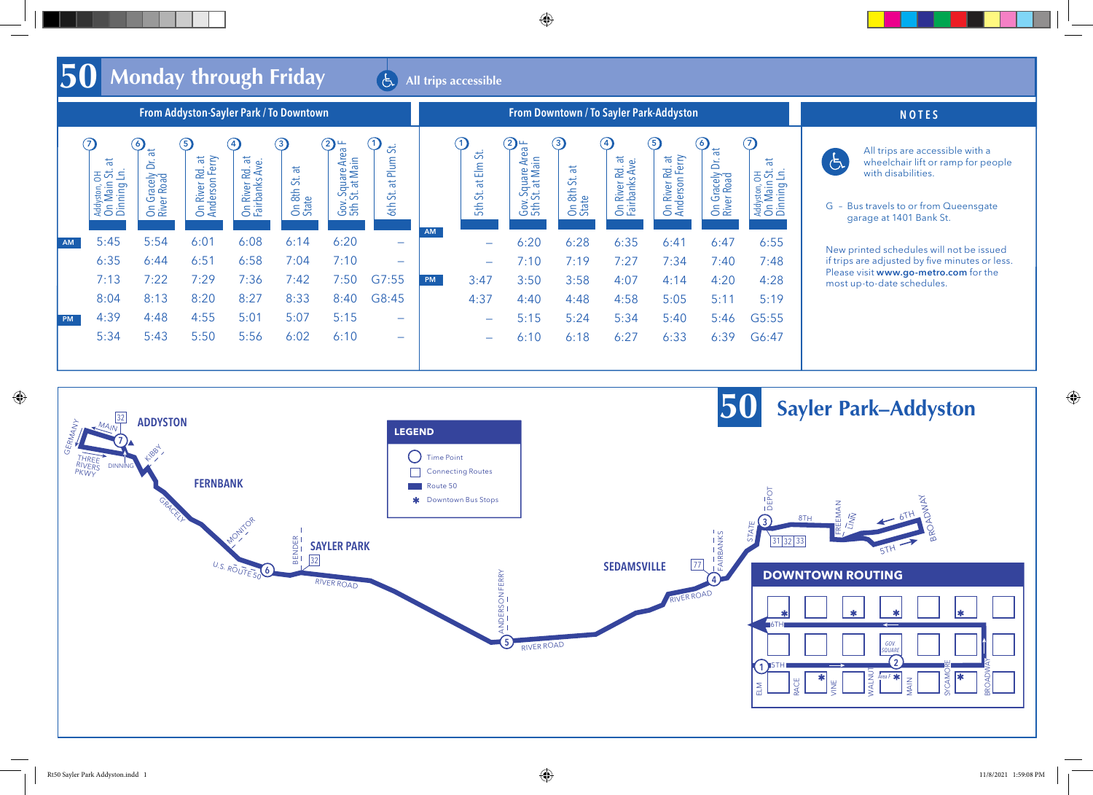